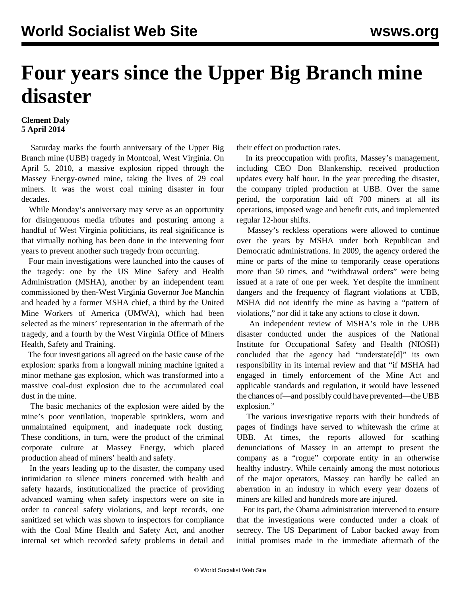## **Four years since the Upper Big Branch mine disaster**

## **Clement Daly 5 April 2014**

 Saturday marks the fourth anniversary of the Upper Big Branch mine (UBB) tragedy in Montcoal, West Virginia. On April 5, 2010, a massive explosion ripped through the Massey Energy-owned mine, taking the lives of 29 coal miners. It was the worst coal mining disaster in four decades.

 While Monday's anniversary may serve as an opportunity for disingenuous media tributes and posturing among a handful of West Virginia politicians, its real significance is that virtually nothing has been done in the intervening four years to prevent another such tragedy from occurring.

 Four main investigations were launched into the causes of the tragedy: [one](/en/articles/2011/12/msha-d13.html) by the US Mine Safety and Health Administration (MSHA), [another](/en/articles/2011/05/ubbr-m24.html) by an independent team commissioned by then-West Virginia Governor Joe Manchin and headed by a former MSHA chief, a [third](/en/articles/2011/11/umwa-n05.html) by the United Mine Workers of America (UMWA), which had been selected as the miners' representation in the aftermath of the tragedy, and a fourth by the West Virginia Office of Miners Health, Safety and Training.

 The four investigations all agreed on the basic cause of the explosion: sparks from a longwall mining machine ignited a minor methane gas explosion, which was transformed into a massive coal-dust explosion due to the accumulated coal dust in the mine.

 The basic mechanics of the explosion were aided by the mine's poor ventilation, inoperable sprinklers, worn and unmaintained equipment, and inadequate rock dusting. These conditions, in turn, were the product of the criminal corporate culture at Massey Energy, which placed production ahead of miners' health and safety.

 In the years leading up to the disaster, the company used intimidation to silence miners concerned with health and safety hazards, institutionalized the practice of providing advanced warning when safety inspectors were on site in order to conceal safety violations, and kept [records](/en/articles/2011/07/mass-j05.html), one sanitized set which was shown to inspectors for compliance with the Coal Mine Health and Safety Act, and another internal set which recorded safety problems in detail and their effect on production rates.

 In its preoccupation with profits, Massey's management, including CEO Don Blankenship, received production updates every half hour. In the year preceding the disaster, the company tripled production at UBB. Over the same period, the corporation laid off 700 miners at all its operations, imposed wage and benefit cuts, and implemented regular 12-hour shifts.

 Massey's reckless operations were allowed to continue over the years by MSHA under both Republican and Democratic administrations. In 2009, the agency ordered the mine or parts of the mine to temporarily cease operations more than 50 times, and "withdrawal orders" were being issued at a rate of one per week. Yet despite the imminent dangers and the frequency of flagrant violations at UBB, MSHA did not identify the mine as having a "pattern of violations," nor did it take any actions to close it down.

 An [independent review](/en/articles/2012/04/mine-a03.html) of MSHA's role in the UBB disaster conducted under the auspices of the National Institute for Occupational Safety and Health (NIOSH) concluded that the agency had "understate[d]" its own responsibility in its internal review and that "if MSHA had engaged in timely enforcement of the Mine Act and applicable standards and regulation, it would have lessened the chances of—and possibly could have prevented—the UBB explosion."

 The various investigative reports with their hundreds of pages of findings have served to whitewash the crime at UBB. At times, the reports allowed for scathing denunciations of Massey in an attempt to present the company as a "rogue" corporate entity in an otherwise healthy industry. While certainly among the most notorious of the major operators, Massey can hardly be called an aberration in an industry in which every year dozens of miners are killed and hundreds more are injured.

 For its part, the Obama administration intervened to ensure that the investigations were conducted under a cloak of secrecy. The US Department of Labor backed away from initial promises made in the immediate aftermath of the